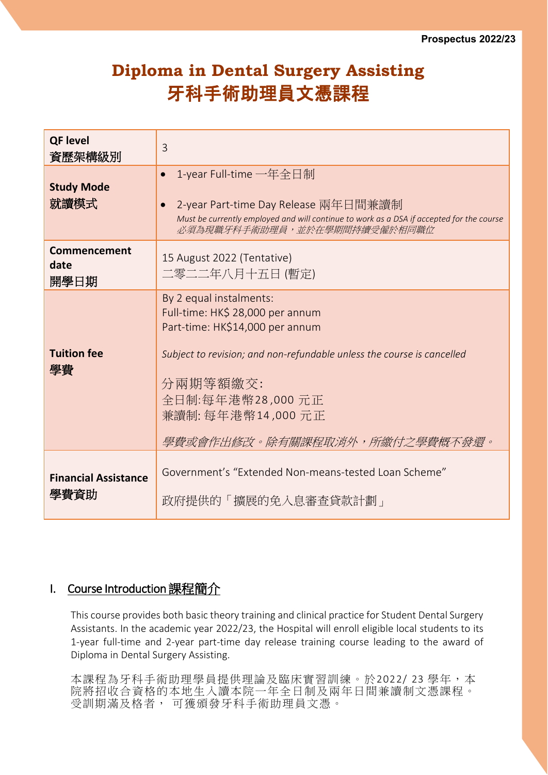# **Diploma in Dental Surgery Assisting** 牙科手術助理員文憑課程

| <b>QF level</b><br>資歷架構級別           | 3                                                                                                                                                                                                                                                               |
|-------------------------------------|-----------------------------------------------------------------------------------------------------------------------------------------------------------------------------------------------------------------------------------------------------------------|
| <b>Study Mode</b><br>就讀模式           | 1-year Full-time 一年全日制<br>$\bullet$<br>2-year Part-time Day Release 兩年日間兼讀制<br>Must be currently employed and will continue to work as a DSA if accepted for the course<br>必須為現職牙科手術助理員,並於在學期間持續受僱於相同職位                                                         |
| Commencement<br>date<br>開學日期        | 15 August 2022 (Tentative)<br>二零二二年八月十五日(暫定)                                                                                                                                                                                                                    |
| <b>Tuition fee</b><br>學費            | By 2 equal instalments:<br>Full-time: HK\$ 28,000 per annum<br>Part-time: HK\$14,000 per annum<br>Subject to revision; and non-refundable unless the course is cancelled<br>分兩期等額繳交:<br>全日制:每年港幣28,000元正<br>兼讀制: 每年港幣14,000 元正<br>學費或會作出修改。除有關課程取消外,所繳付之學費概不發還。 |
| <b>Financial Assistance</b><br>學費資助 | Government's "Extended Non-means-tested Loan Scheme"<br>政府提供的「擴展的免入息審查貸款計劃」                                                                                                                                                                                     |

## I. Course Introduction課程簡介

This course provides both basic theory training and clinical practice for Student Dental Surgery Assistants. In the academic year 2022/23, the Hospital will enroll eligible local students to its 1-year full-time and 2-year part-time day release training course leading to the award of Diploma in Dental Surgery Assisting.

本課程為牙科手術助理學員提供理論及臨床實習訓練。於2022/23學年,本 院將招收合資格的本地生入讀本院一年全日制及兩年日間兼讀制文憑課程。 受訓期滿及格者, 可獲頒發牙科手術助理員文憑。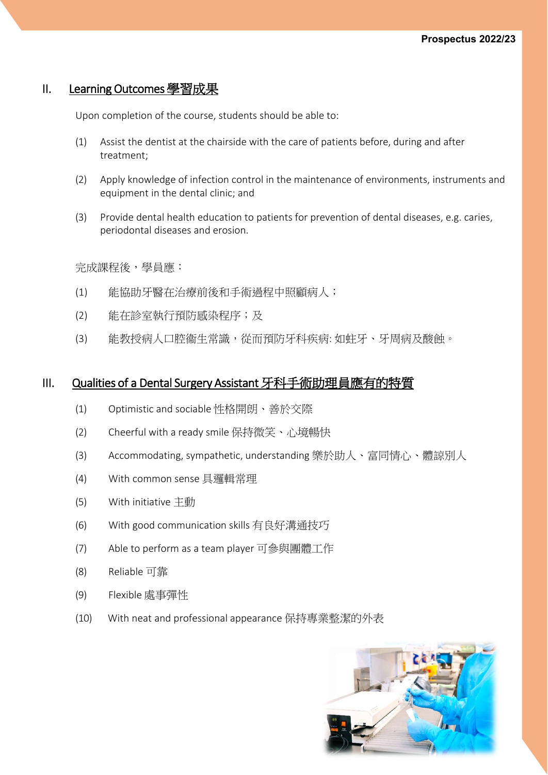#### II. Learning Outcomes學習成果

Upon completion of the course, students should be able to:

- (1) Assist the dentist at the chairside with the care of patients before, during and after treatment;
- (2) Apply knowledge of infection control in the maintenance of environments, instruments and equipment in the dental clinic; and
- (3) Provide dental health education to patients for prevention of dental diseases, e.g. caries, periodontal diseases and erosion.

完成課程後,學員應:

- (1) 能協助牙醫在治療前後和手術過程中照顧病人;
- (2) 能在診室執行預防感染程序;及
- (3) 能教授病人口腔衞生常識,從而預防牙科疾病: 如蛀牙、牙周病及酸蝕。

#### III. Qualities of a Dental Surgery Assistant 牙科手術助理員應有的特質

- (1) Optimistic and sociable 性格開朗、善於交際
- (2) Cheerful with a ready smile 保持微笑、心境暢快
- (3) Accommodating, sympathetic, understanding 樂於助人、富同情心、體諒別人
- (4) With common sense 具邏輯常理
- (5) With initiative 主動
- (6) With good communication skills 有良好溝通技巧
- (7) Able to perform as a team player 可參與團體工作
- (8) Reliable 可靠
- (9) Flexible 處事彈性
- (10) With neat and professional appearance 保持專業整潔的外表

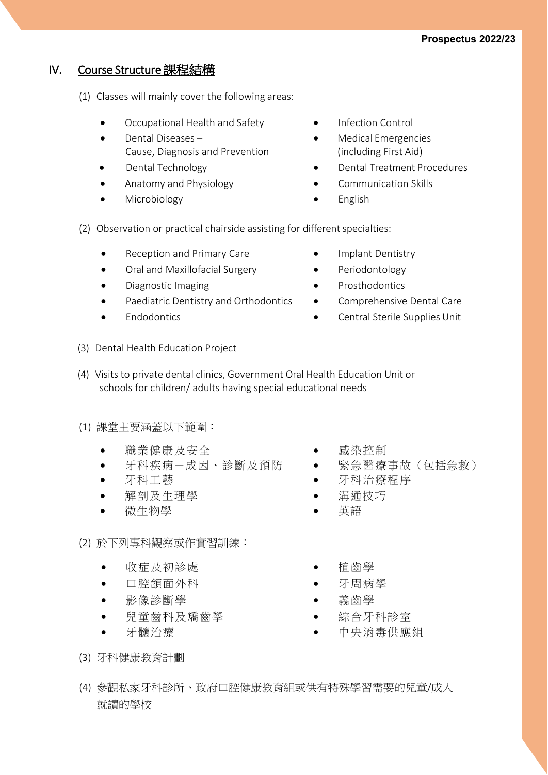## IV. Course Structure課程結構

- (1) Classes will mainly cover the following areas:
	- Occupational Health and Safety **•** Infection Control
	- Dental Diseases Cause, Diagnosis and Prevention
	-
	-
	- Microbiology English
- 
- Medical Emergencies (including First Aid)
- Dental Technology Dental Treatment Procedures
- Anatomy and Physiology **•** Communication Skills
	-
- (2) Observation or practical chairside assisting for different specialties:
	- Reception and Primary Care Implant Dentistry
	- Oral and Maxillofacial Surgery Periodontology
	- Diagnostic Imaging entitled and the Prosthodontics
	- Paediatric Dentistry and Orthodontics Comprehensive Dental Care
	-
- 
- 
- 
- 
- Endodontics Central Sterile Supplies Unit
- (3) Dental Health Education Project
- (4) Visits to private dental clinics, Government Oral Health Education Unit or schools for children/ adults having special educational needs
- (1) 課堂主要涵蓋以下範圍:
	- 職業健康及安全 • 感染控制
	-
	-
	- 解剖及生理學 溝通技巧
	- 微生物學 英語
- (2) 於下列專科觀察或作實習訓練:
	- 收症及初診處 植齒學
	- 口腔頷面外科 • 牙周病學
	- 影像診斷學 赛齒學 毒齒學
	- 兒童齒科及矯齒學 綜合牙科診室
	-
- 
- 牙科疾病—成因、診斷及預防 緊急醫療事故(包括急救)
- 牙科工藝 牙科治療程序
	-
	-
	-
	-
	-
	-
- 牙髓治療 • • 中央消毒供應組
- (3) 牙科健康教育計劃
- (4) 參觀私家牙科診所、政府口腔健康教育組或供有特殊學習需要的兒童/成人 就讀的學校